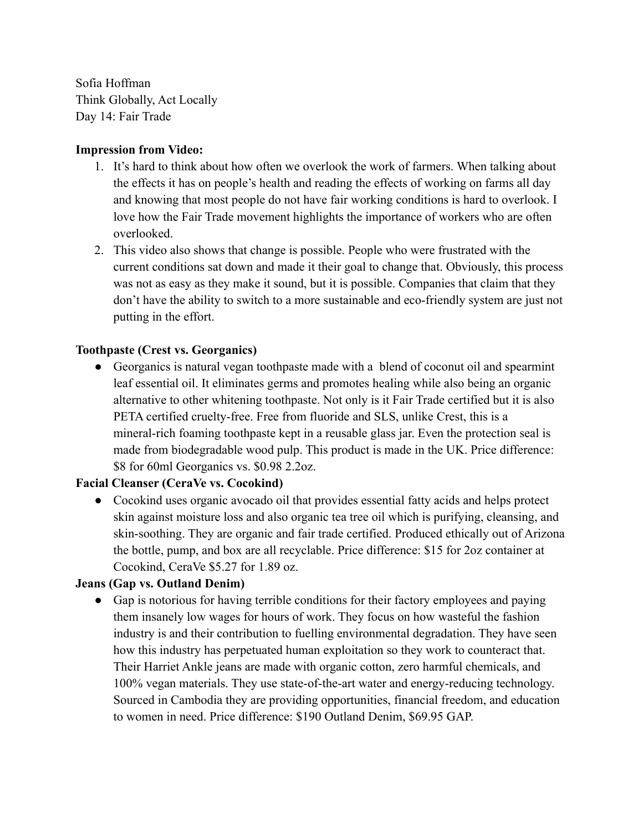Sofia Hoffman Think Globally, Act Locally Day 14: Fair Trade

## **Impression from Video:**

- 1. It's hard to think about how often we overlook the work of farmers. When talking about the effects it has on people's health and reading the effects of working on farms all day and knowing that most people do not have fair working conditions is hard to overlook. I love how the Fair Trade movement highlights the importance of workers who are often overlooked.
- 2. This video also shows that change is possible. People who were frustrated with the current conditions sat down and made it their goal to change that. Obviously, this process was not as easy as they make it sound, but it is possible. Companies that claim that they don't have the ability to switch to a more sustainable and eco-friendly system are just not putting in the effort.

## **Toothpaste (Crest vs. Georganics)**

• Georganics is natural vegan toothpaste made with a blend of coconut oil and spearmint leaf essential oil. It eliminates germs and promotes healing while also being an organic alternative to other whitening toothpaste. Not only is it Fair Trade certified but it is also PETA certified cruelty-free. Free from fluoride and SLS, unlike Crest, this is a mineral-rich foaming toothpaste kept in a reusable glass jar. Even the protection seal is made from biodegradable wood pulp. This product is made in the UK. Price difference: \$8 for 60ml Georganics vs. \$0.98 2.2oz.

## **Facial Cleanser (CeraVe vs. Cocokind)**

• Cocokind uses organic avocado oil that provides essential fatty acids and helps protect skin against moisture loss and also organic tea tree oil which is purifying, cleansing, and skin-soothing. They are organic and fair trade certified. Produced ethically out of Arizona the bottle, pump, and box are all recyclable. Price difference: \$15 for 2oz container at Cocokind, CeraVe \$5.27 for 1.89 oz.

## **Jeans (Gap vs. Outland Denim)**

• Gap is notorious for having terrible conditions for their factory employees and paying them insanely low wages for hours of work. They focus on how wasteful the fashion industry is and their contribution to fuelling environmental degradation. They have seen how this industry has perpetuated human exploitation so they work to counteract that. Their Harriet Ankle jeans are made with organic cotton, zero harmful chemicals, and 100% vegan materials. They use state-of-the-art water and energy-reducing technology. Sourced in Cambodia they are providing opportunities, financial freedom, and education to women in need. Price difference: \$190 Outland Denim, \$69.95 GAP.